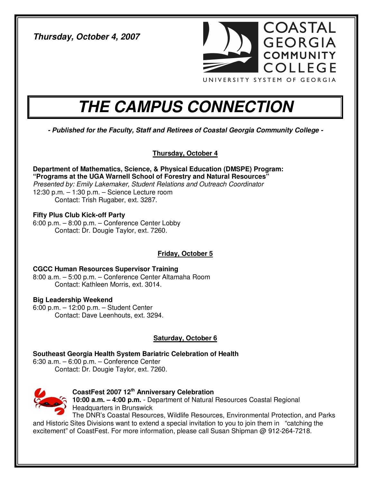**Thursday, October 4, 2007** 



# **THE CAMPUS CONNECTION**

**- Published for the Faculty, Staff and Retirees of Coastal Georgia Community College -** 

**Thursday, October 4**

**Department of Mathematics, Science, & Physical Education (DMSPE) Program: "Programs at the UGA Warnell School of Forestry and Natural Resources"**  Presented by: Emily Lakemaker, Student Relations and Outreach Coordinator 12:30 p.m. – 1:30 p.m. – Science Lecture room Contact: Trish Rugaber, ext. 3287.

**Fifty Plus Club Kick-off Party**  6:00 p.m. – 8:00 p.m. – Conference Center Lobby Contact: Dr. Dougie Taylor, ext. 7260.

## **Friday, October 5**

**CGCC Human Resources Supervisor Training**  8:00 a.m. – 5:00 p.m. – Conference Center Altamaha Room Contact: Kathleen Morris, ext. 3014.

## **Big Leadership Weekend**

6:00 p.m. – 12:00 p.m. – Student Center Contact: Dave Leenhouts, ext. 3294.

## **Saturday, October 6**

**Southeast Georgia Health System Bariatric Celebration of Health**  6:30 a.m. – 6:00 p.m. – Conference Center Contact: Dr. Dougie Taylor, ext. 7260.



**CoastFest 2007 12th Anniversary Celebration 10:00 a.m. – 4:00 p.m.** - Department of Natural Resources Coastal Regional Headquarters in Brunswick

The DNR's Coastal Resources, Wildlife Resources, Environmental Protection, and Parks and Historic Sites Divisions want to extend a special invitation to you to join them in "catching the excitement" of CoastFest. For more information, please call Susan Shipman @ 912-264-7218.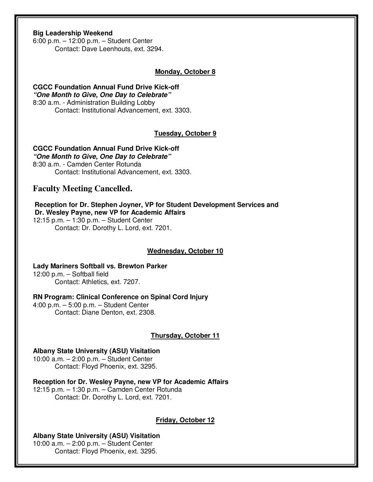## **Big Leadership Weekend**

6:00 p.m. – 12:00 p.m. – Student Center Contact: Dave Leenhouts, ext. 3294.

#### **Monday, October 8**

#### **CGCC Foundation Annual Fund Drive Kick-off "One Month to Give, One Day to Celebrate"**  8:30 a.m. - Administration Building Lobby Contact: Institutional Advancement, ext. 3303.

#### **Tuesday, October 9**

#### **CGCC Foundation Annual Fund Drive Kick-off "One Month to Give, One Day to Celebrate"**

8:30 a.m. - Camden Center Rotunda Contact: Institutional Advancement, ext. 3303.

## **Faculty Meeting Cancelled.**

## **Reception for Dr. Stephen Joyner, VP for Student Development Services and Dr. Wesley Payne, new VP for Academic Affairs**

12:15 p.m. – 1:30 p.m. – Student Center Contact: Dr. Dorothy L. Lord, ext. 7201.

#### **Wednesday, October 10**

## **Lady Mariners Softball vs. Brewton Parker**  12:00 p.m. – Softball field

Contact: Athletics, ext. 7207.

## **RN Program: Clinical Conference on Spinal Cord Injury**

4:00 p.m. – 5:00 p.m. – Student Center Contact: Diane Denton, ext. 2308.

## **Thursday, October 11**

#### **Albany State University (ASU) Visitation**

10:00 a.m. – 2:00 p.m. – Student Center Contact: Floyd Phoenix, ext. 3295.

**Reception for Dr. Wesley Payne, new VP for Academic Affairs**  12:15 p.m. – 1:30 p.m. – Camden Center Rotunda Contact: Dr. Dorothy L. Lord, ext. 7201.

## **Friday, October 12**

#### **Albany State University (ASU) Visitation**  10:00 a.m. – 2:00 p.m. – Student Center Contact: Floyd Phoenix, ext. 3295.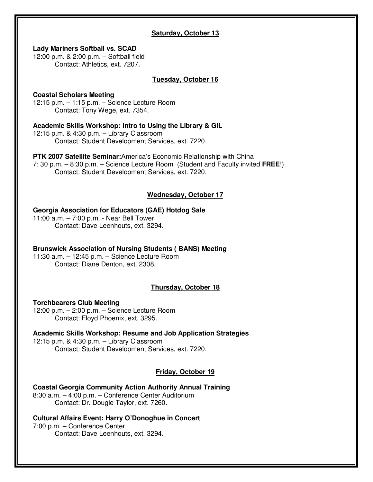## **Saturday, October 13**

#### **Lady Mariners Softball vs. SCAD**

12:00 p.m. & 2:00 p.m. – Softball field Contact: Athletics, ext. 7207.

#### **Tuesday, October 16**

#### **Coastal Scholars Meeting**

12:15 p.m. – 1:15 p.m. – Science Lecture Room Contact: Tony Wege, ext. 7354.

## **Academic Skills Workshop: Intro to Using the Library & GIL**

12:15 p.m. & 4:30 p.m. – Library Classroom Contact: Student Development Services, ext. 7220.

#### **PTK 2007 Satellite Seminar:**America's Economic Relationship with China 7: 30 p.m. – 8:30 p.m. – Science Lecture Room (Student and Faculty invited **FREE**!) Contact: Student Development Services, ext. 7220.

# **Wednesday, October 17**

## **Georgia Association for Educators (GAE) Hotdog Sale**

11:00 a.m. – 7:00 p.m. - Near Bell Tower Contact: Dave Leenhouts, ext. 3294.

## **Brunswick Association of Nursing Students ( BANS) Meeting**

11:30 a.m. – 12:45 p.m. – Science Lecture Room Contact: Diane Denton, ext. 2308.

## **Thursday, October 18**

## **Torchbearers Club Meeting**

12:00 p.m. – 2:00 p.m. – Science Lecture Room Contact: Floyd Phoenix, ext. 3295.

**Academic Skills Workshop: Resume and Job Application Strategies**  12:15 p.m. & 4:30 p.m. – Library Classroom Contact: Student Development Services, ext. 7220.

## **Friday, October 19**

**Coastal Georgia Community Action Authority Annual Training**  8:30 a.m. – 4:00 p.m. – Conference Center Auditorium Contact: Dr. Dougie Taylor, ext. 7260.

## **Cultural Affairs Event: Harry O'Donoghue in Concert**

7:00 p.m. – Conference Center Contact: Dave Leenhouts, ext. 3294.